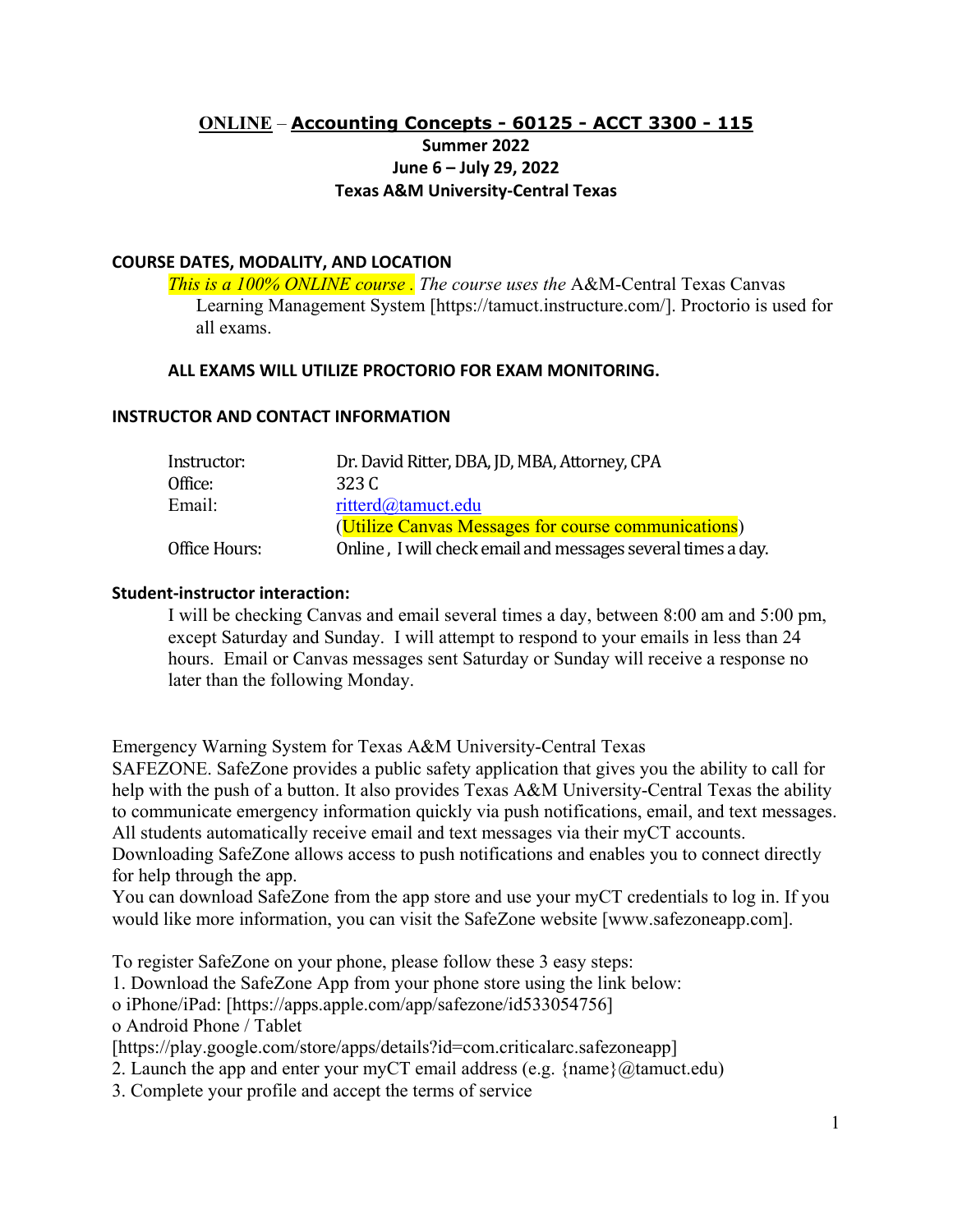# **ONLINE** – **[Accounting Concepts](https://ssb-prod.ec.tamuct.edu/PROD/bwckctlg.p_disp_listcrse?term_in=201906&subj_in=ACCT&crse_in=4305&schd_in=LEC) - 60125 - ACCT 3300 - 115 Summer 2022 June 6 – July 29, 2022 Texas A&M University-Central Texas**

## **COURSE DATES, MODALITY, AND LOCATION**

*This is a 100% ONLINE course . The course uses the* A&M-Central Texas Canvas Learning Management System [https://tamuct.instructure.com/]. Proctorio is used for all exams.

#### **ALL EXAMS WILL UTILIZE PROCTORIO FOR EXAM MONITORING.**

#### **INSTRUCTOR AND CONTACT INFORMATION**

| Instructor:   | Dr. David Ritter, DBA, JD, MBA, Attorney, CPA                |  |
|---------------|--------------------------------------------------------------|--|
| Office:       | 323 C                                                        |  |
| Email:        | ritterd@tamuct.edu                                           |  |
|               | (Utilize Canvas Messages for course communications)          |  |
| Office Hours: | Online, I will check email and messages several times a day. |  |

#### **Student-instructor interaction:**

I will be checking Canvas and email several times a day, between 8:00 am and 5:00 pm, except Saturday and Sunday. I will attempt to respond to your emails in less than 24 hours. Email or Canvas messages sent Saturday or Sunday will receive a response no later than the following Monday.

Emergency Warning System for Texas A&M University-Central Texas

SAFEZONE. SafeZone provides a public safety application that gives you the ability to call for help with the push of a button. It also provides Texas A&M University-Central Texas the ability to communicate emergency information quickly via push notifications, email, and text messages. All students automatically receive email and text messages via their myCT accounts.

Downloading SafeZone allows access to push notifications and enables you to connect directly for help through the app.

You can download SafeZone from the app store and use your myCT credentials to log in. If you would like more information, you can visit the SafeZone website [www.safezoneapp.com].

To register SafeZone on your phone, please follow these 3 easy steps:

1. Download the SafeZone App from your phone store using the link below:

o iPhone/iPad: [https://apps.apple.com/app/safezone/id533054756]

o Android Phone / Tablet

[https://play.google.com/store/apps/details?id=com.criticalarc.safezoneapp]

2. Launch the app and enter your myCT email address (e.g.  $\{name\}(\mathcal{Q})$  tamuct.edu)

3. Complete your profile and accept the terms of service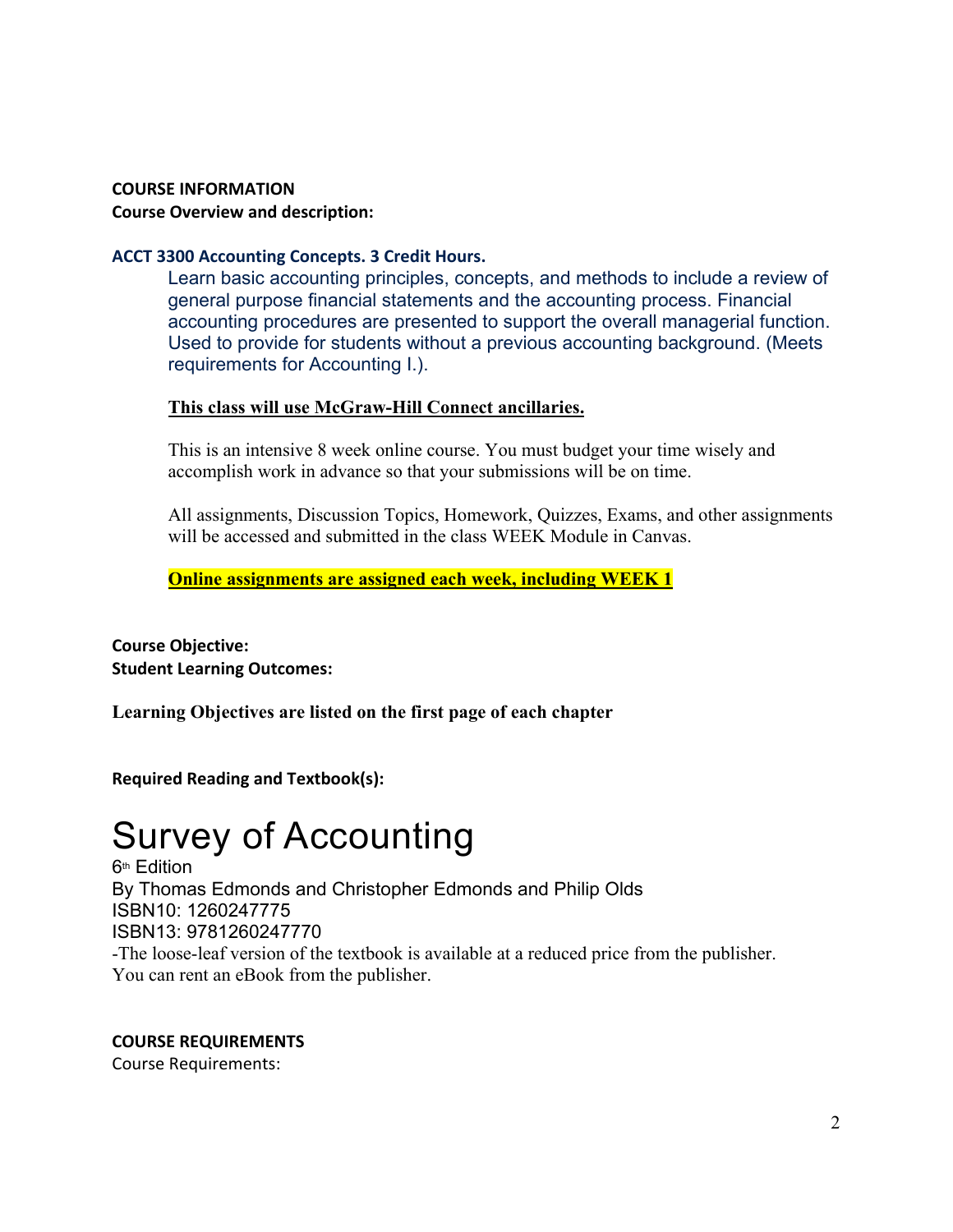# **COURSE INFORMATION Course Overview and description:**

# **ACCT 3300 Accounting Concepts. 3 Credit Hours.**

Learn basic accounting principles, concepts, and methods to include a review of general purpose financial statements and the accounting process. Financial accounting procedures are presented to support the overall managerial function. Used to provide for students without a previous accounting background. (Meets requirements for Accounting I.).

# **This class will use McGraw-Hill Connect ancillaries.**

This is an intensive 8 week online course. You must budget your time wisely and accomplish work in advance so that your submissions will be on time.

All assignments, Discussion Topics, Homework, Quizzes, Exams, and other assignments will be accessed and submitted in the class WEEK Module in Canvas.

**Online assignments are assigned each week, including WEEK 1**

**Course Objective: Student Learning Outcomes:**

**Learning Objectives are listed on the first page of each chapter**

**Required Reading and Textbook(s):**

# Survey of Accounting

**6th Edition** By Thomas Edmonds and Christopher Edmonds and Philip Olds ISBN10: 1260247775 ISBN13: 9781260247770 -The loose-leaf version of the textbook is available at a reduced price from the publisher. You can rent an eBook from the publisher.

# **COURSE REQUIREMENTS**

Course Requirements: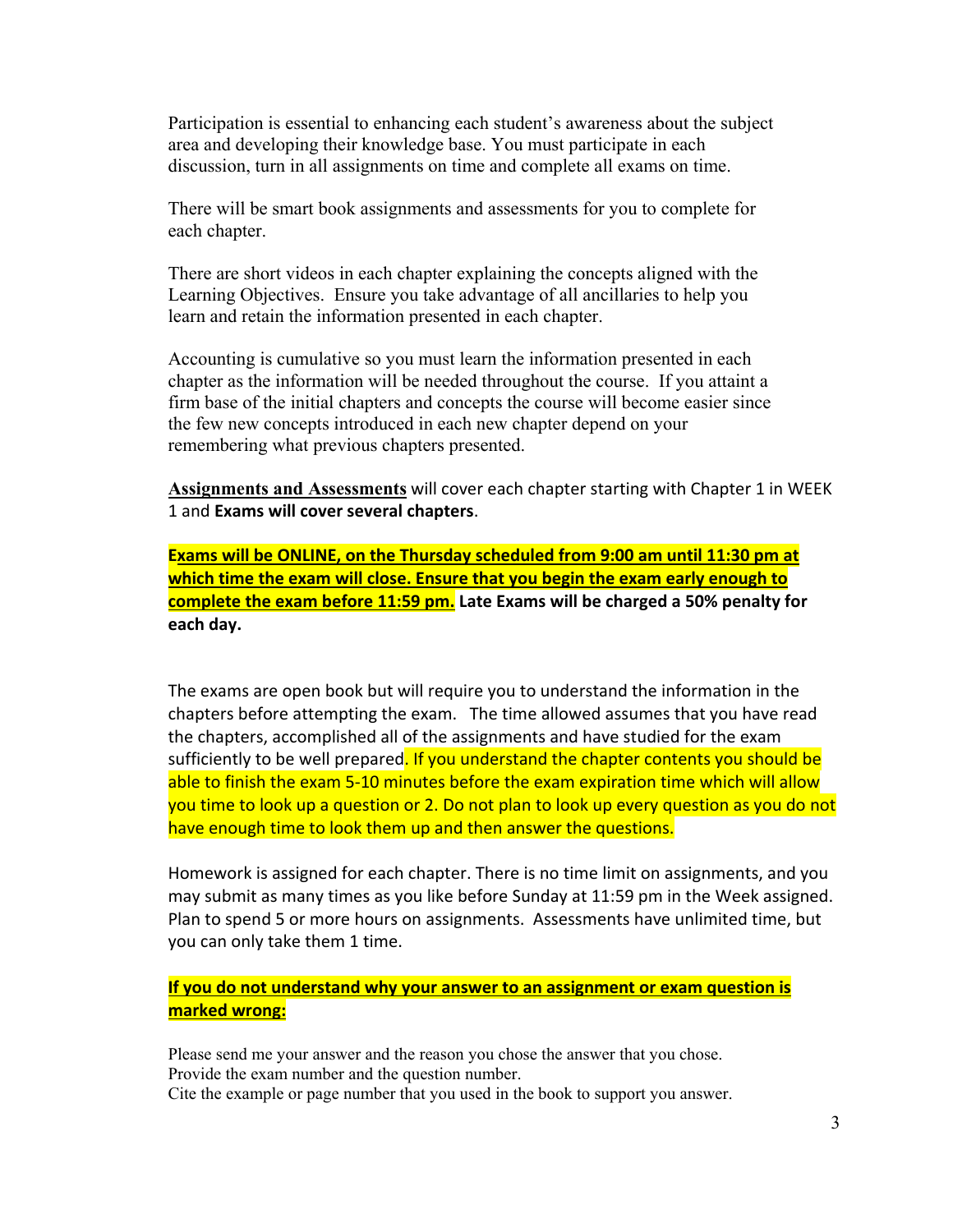Participation is essential to enhancing each student's awareness about the subject area and developing their knowledge base. You must participate in each discussion, turn in all assignments on time and complete all exams on time.

There will be smart book assignments and assessments for you to complete for each chapter.

There are short videos in each chapter explaining the concepts aligned with the Learning Objectives. Ensure you take advantage of all ancillaries to help you learn and retain the information presented in each chapter.

Accounting is cumulative so you must learn the information presented in each chapter as the information will be needed throughout the course. If you attaint a firm base of the initial chapters and concepts the course will become easier since the few new concepts introduced in each new chapter depend on your remembering what previous chapters presented.

**Assignments and Assessments** will cover each chapter starting with Chapter 1 in WEEK 1 and **Exams will cover several chapters**.

**Exams will be ONLINE, on the Thursday scheduled from 9:00 am until 11:30 pm at which time the exam will close. Ensure that you begin the exam early enough to complete the exam before 11:59 pm. Late Exams will be charged a 50% penalty for each day.**

The exams are open book but will require you to understand the information in the chapters before attempting the exam. The time allowed assumes that you have read the chapters, accomplished all of the assignments and have studied for the exam sufficiently to be well prepared. If you understand the chapter contents you should be able to finish the exam 5-10 minutes before the exam expiration time which will allow you time to look up a question or 2. Do not plan to look up every question as you do not have enough time to look them up and then answer the questions.

Homework is assigned for each chapter. There is no time limit on assignments, and you may submit as many times as you like before Sunday at 11:59 pm in the Week assigned. Plan to spend 5 or more hours on assignments. Assessments have unlimited time, but you can only take them 1 time.

# **If you do not understand why your answer to an assignment or exam question is marked wrong:**

Please send me your answer and the reason you chose the answer that you chose. Provide the exam number and the question number. Cite the example or page number that you used in the book to support you answer.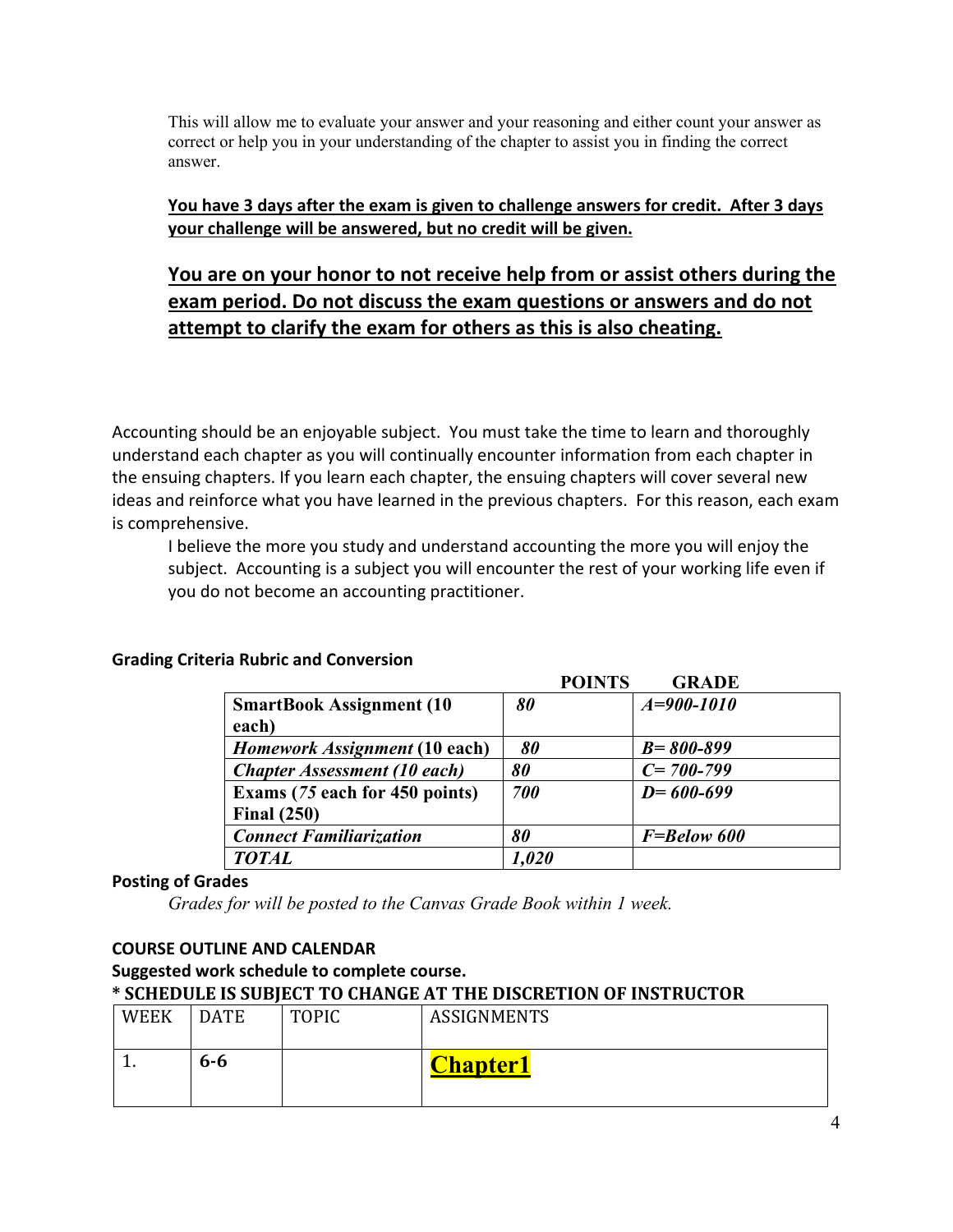This will allow me to evaluate your answer and your reasoning and either count your answer as correct or help you in your understanding of the chapter to assist you in finding the correct answer.

# **You have 3 days after the exam is given to challenge answers for credit. After 3 days your challenge will be answered, but no credit will be given.**

# **You are on your honor to not receive help from or assist others during the exam period. Do not discuss the exam questions or answers and do not attempt to clarify the exam for others as this is also cheating.**

Accounting should be an enjoyable subject. You must take the time to learn and thoroughly understand each chapter as you will continually encounter information from each chapter in the ensuing chapters. If you learn each chapter, the ensuing chapters will cover several new ideas and reinforce what you have learned in the previous chapters. For this reason, each exam is comprehensive.

I believe the more you study and understand accounting the more you will enjoy the subject. Accounting is a subject you will encounter the rest of your working life even if you do not become an accounting practitioner.

|                                                      | <b>POINTS</b> | <b>GRADE</b>    |
|------------------------------------------------------|---------------|-----------------|
| <b>SmartBook Assignment (10)</b><br>each)            | 80            | $A=900-1010$    |
| Homework Assignment (10 each)                        | 80            | $B = 800 - 899$ |
| <b>Chapter Assessment (10 each)</b>                  | 80            | $C = 700 - 799$ |
| Exams (75 each for 450 points)<br><b>Final (250)</b> | 700           | $D = 600 - 699$ |
| <b>Connect Familiarization</b>                       | 80            | F=Below 600     |
| <b>TOTAL</b>                                         | 1,020         |                 |

## **Grading Criteria Rubric and Conversion**

# **Posting of Grades**

*Grades for will be posted to the Canvas Grade Book within 1 week.*

## **COURSE OUTLINE AND CALENDAR**

#### **Suggested work schedule to complete course. \* SCHEDULE IS SUBJECT TO CHANGE AT THE DISCRETION OF INSTRUCTOR**

| <b>WEEK</b> | <b>DATE</b> | <b>TOPIC</b> | <b>ASSIGNMENTS</b> |
|-------------|-------------|--------------|--------------------|
| . .         | $6 - 6$     |              | <b>Chapter1</b>    |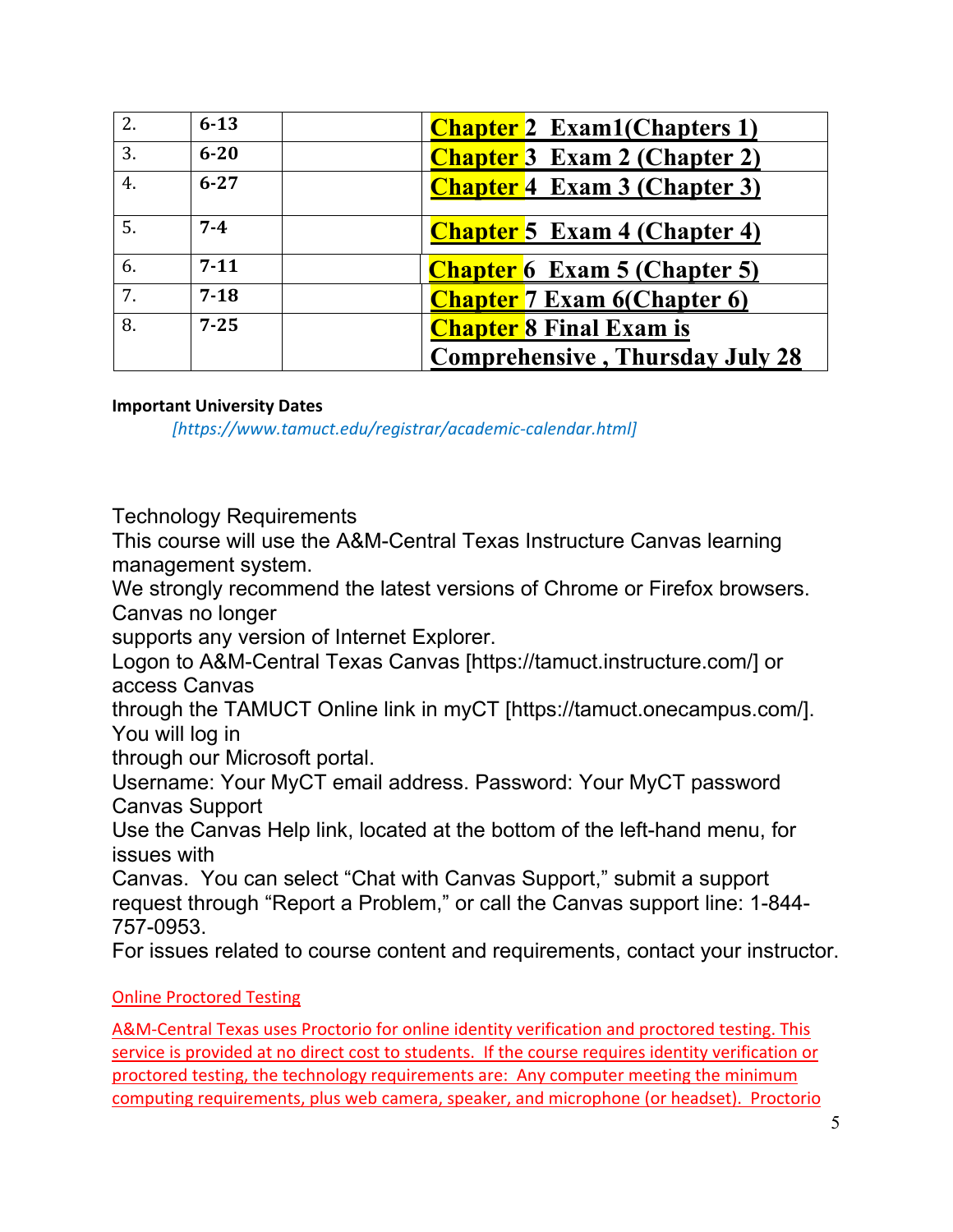| 2. | $6 - 13$ | <b>Chapter 2</b> Exam1(Chapters 1)     |
|----|----------|----------------------------------------|
| 3. | $6 - 20$ | <b>Chapter 3</b> Exam 2 (Chapter 2)    |
| 4. | $6 - 27$ | <b>Chapter 4 Exam 3 (Chapter 3)</b>    |
| 5. | $7 - 4$  | <b>Chapter 5</b> Exam 4 (Chapter 4)    |
| 6. | $7 - 11$ | <b>Chapter 6</b> Exam 5 (Chapter 5)    |
| 7. | $7 - 18$ | <b>Chapter</b> 7 Exam 6(Chapter 6)     |
| 8. | $7 - 25$ | <b>Chapter 8 Final Exam is</b>         |
|    |          | <b>Comprehensive, Thursday July 28</b> |

# **Important University Dates**

*[https://www.tamuct.edu/registrar/academic-calendar.html]*

Technology Requirements

This course will use the A&M-Central Texas Instructure Canvas learning management system.

We strongly recommend the latest versions of Chrome or Firefox browsers. Canvas no longer

supports any version of Internet Explorer.

Logon to A&M-Central Texas Canvas [https://tamuct.instructure.com/] or access Canvas

through the TAMUCT Online link in myCT [https://tamuct.onecampus.com/]. You will log in

through our Microsoft portal.

Username: Your MyCT email address. Password: Your MyCT password Canvas Support

Use the Canvas Help link, located at the bottom of the left-hand menu, for issues with

Canvas. You can select "Chat with Canvas Support," submit a support request through "Report a Problem," or call the Canvas support line: 1-844- 757-0953.

For issues related to course content and requirements, contact your instructor.

# Online Proctored Testing

A&M-Central Texas uses Proctorio for online identity verification and proctored testing. This service is provided at no direct cost to students. If the course requires identity verification or proctored testing, the technology requirements are: Any computer meeting the minimum computing requirements, plus web camera, speaker, and microphone (or headset). Proctorio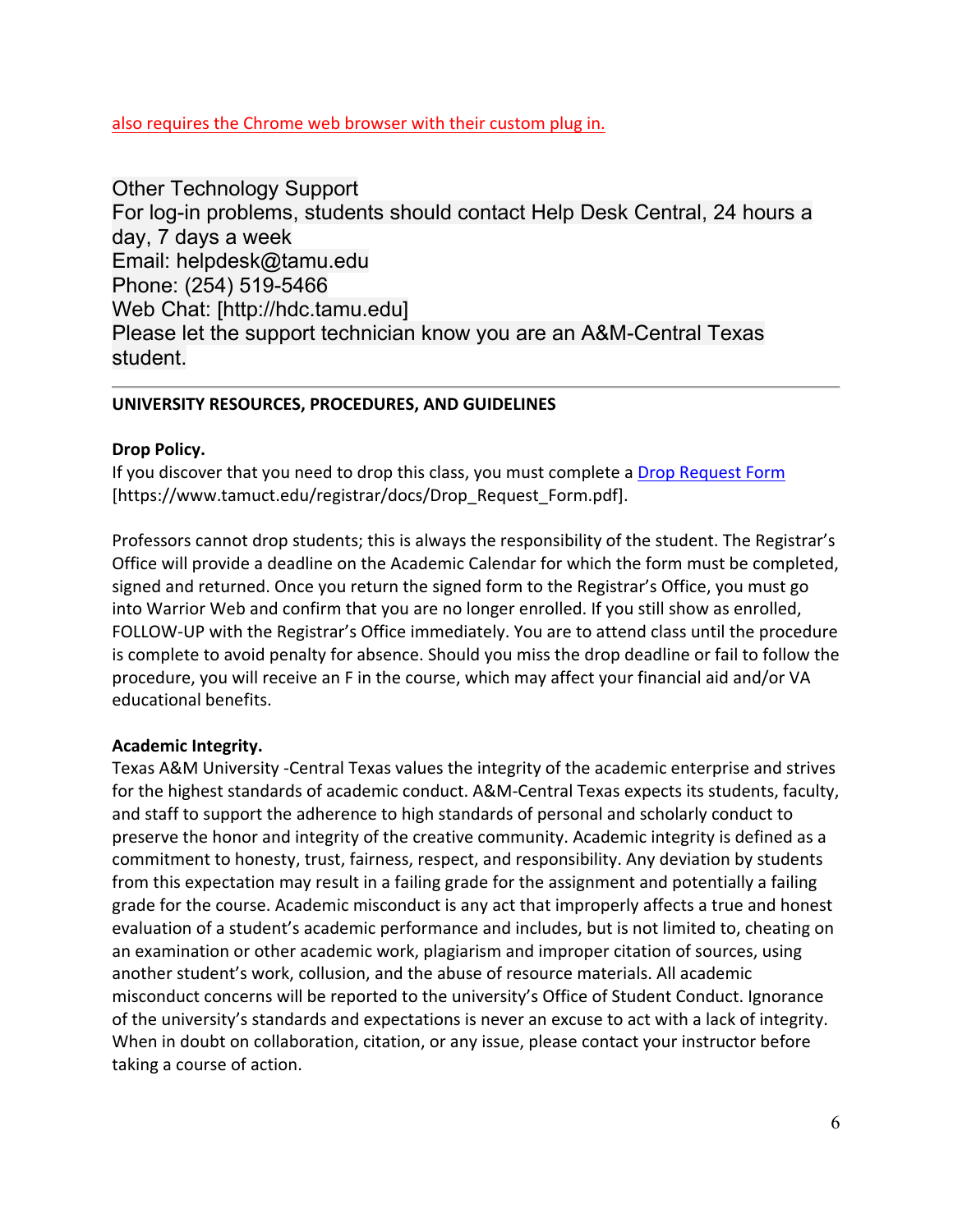also requires the Chrome web browser with their custom plug in.

Other Technology Support For log-in problems, students should contact Help Desk Central, 24 hours a day, 7 days a week Email: helpdesk@tamu.edu Phone: (254) 519-5466 Web Chat: [http://hdc.tamu.edu] Please let the support technician know you are an A&M-Central Texas student.

# **UNIVERSITY RESOURCES, PROCEDURES, AND GUIDELINES**

# **Drop Policy.**

If you discover that you need to drop this class, you must complete a [Drop Request Form](https://www.tamuct.edu/registrar/docs/Drop_Request_Form.pdf) [https://www.tamuct.edu/registrar/docs/Drop\_Request\_Form.pdf].

Professors cannot drop students; this is always the responsibility of the student. The Registrar's Office will provide a deadline on the Academic Calendar for which the form must be completed, signed and returned. Once you return the signed form to the Registrar's Office, you must go into Warrior Web and confirm that you are no longer enrolled. If you still show as enrolled, FOLLOW-UP with the Registrar's Office immediately. You are to attend class until the procedure is complete to avoid penalty for absence. Should you miss the drop deadline or fail to follow the procedure, you will receive an F in the course, which may affect your financial aid and/or VA educational benefits.

## **Academic Integrity.**

Texas A&M University -Central Texas values the integrity of the academic enterprise and strives for the highest standards of academic conduct. A&M-Central Texas expects its students, faculty, and staff to support the adherence to high standards of personal and scholarly conduct to preserve the honor and integrity of the creative community. Academic integrity is defined as a commitment to honesty, trust, fairness, respect, and responsibility. Any deviation by students from this expectation may result in a failing grade for the assignment and potentially a failing grade for the course. Academic misconduct is any act that improperly affects a true and honest evaluation of a student's academic performance and includes, but is not limited to, cheating on an examination or other academic work, plagiarism and improper citation of sources, using another student's work, collusion, and the abuse of resource materials. All academic misconduct concerns will be reported to the university's Office of Student Conduct. Ignorance of the university's standards and expectations is never an excuse to act with a lack of integrity. When in doubt on collaboration, citation, or any issue, please contact your instructor before taking a course of action.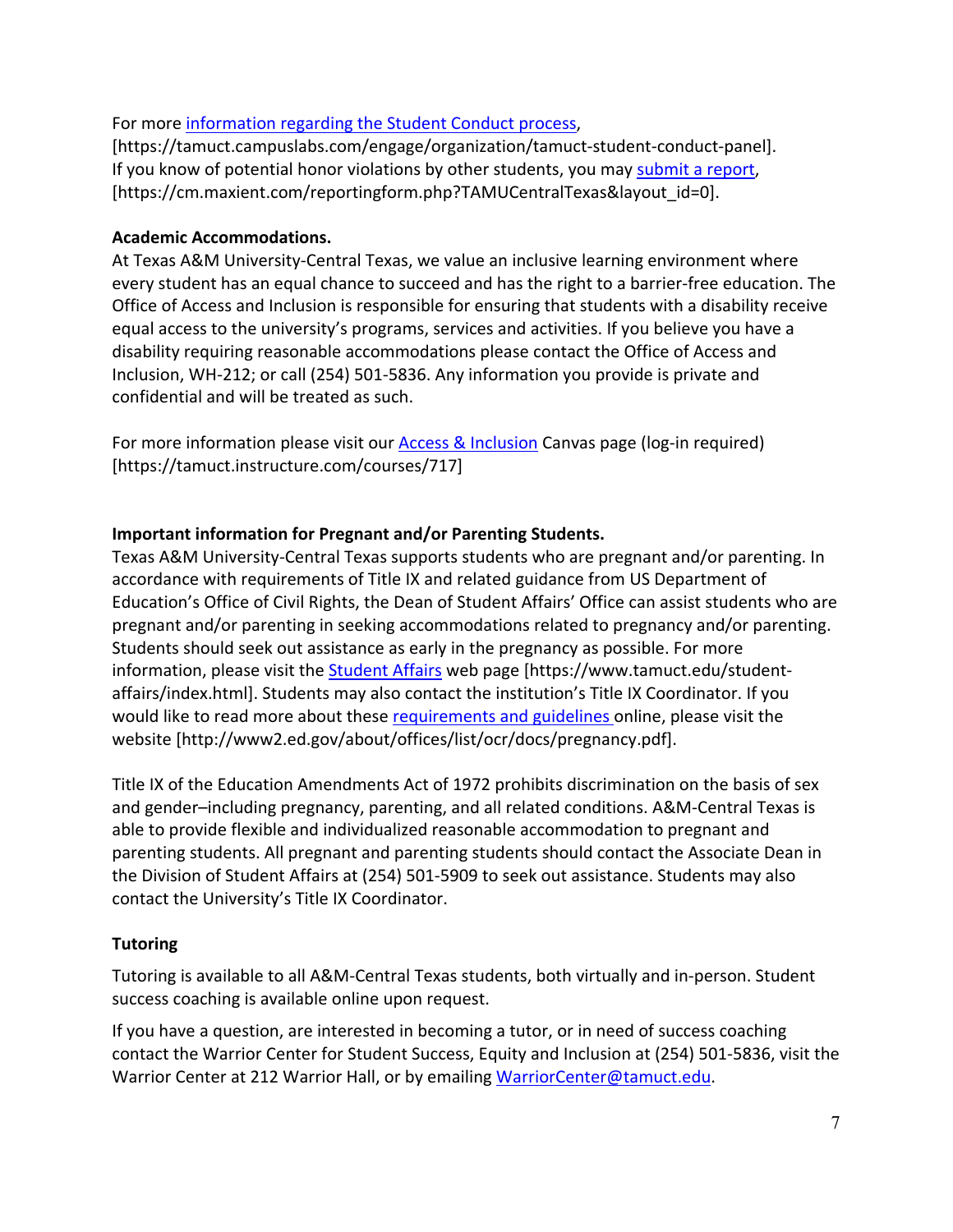# For more [information regarding the Student Conduct process,](https://tamuct.campuslabs.com/engage/organization/tamuct-student-conduct-panel)

[https://tamuct.campuslabs.com/engage/organization/tamuct-student-conduct-panel]. If you know of potential honor violations by other students, you may [submit a report,](https://cm.maxient.com/reportingform.php?TAMUCentralTexas&layout_id=0) [https://cm.maxient.com/reportingform.php?TAMUCentralTexas&layout\_id=0].

## **Academic Accommodations.**

At Texas A&M University-Central Texas, we value an inclusive learning environment where every student has an equal chance to succeed and has the right to a barrier-free education. The Office of Access and Inclusion is responsible for ensuring that students with a disability receive equal access to the university's programs, services and activities. If you believe you have a disability requiring reasonable accommodations please contact the Office of Access and Inclusion, WH-212; or call (254) 501-5836. Any information you provide is private and confidential and will be treated as such.

For more information please visit our **Access & Inclusion** Canvas page (log-in required) [https://tamuct.instructure.com/courses/717]

# **Important information for Pregnant and/or Parenting Students.**

Texas A&M University-Central Texas supports students who are pregnant and/or parenting. In accordance with requirements of Title IX and related guidance from US Department of Education's Office of Civil Rights, the Dean of Student Affairs' Office can assist students who are pregnant and/or parenting in seeking accommodations related to pregnancy and/or parenting. Students should seek out assistance as early in the pregnancy as possible. For more information, please visit the **Student Affairs** web page [https://www.tamuct.edu/studentaffairs/index.html]. Students may also contact the institution's Title IX Coordinator. If you would like to read more about these [requirements and guidelines](http://www2.ed.gov/about/offices/list/ocr/docs/pregnancy.pdf) online, please visit the website [http://www2.ed.gov/about/offices/list/ocr/docs/pregnancy.pdf].

Title IX of the Education Amendments Act of 1972 prohibits discrimination on the basis of sex and gender–including pregnancy, parenting, and all related conditions. A&M-Central Texas is able to provide flexible and individualized reasonable accommodation to pregnant and parenting students. All pregnant and parenting students should contact the Associate Dean in the Division of Student Affairs at (254) 501-5909 to seek out assistance. Students may also contact the University's Title IX Coordinator.

# **Tutoring**

Tutoring is available to all A&M-Central Texas students, both virtually and in-person. Student success coaching is available online upon request.

If you have a question, are interested in becoming a tutor, or in need of success coaching contact the Warrior Center for Student Success, Equity and Inclusion at (254) 501-5836, visit the Warrior Center at 212 Warrior Hall, or by emailing [WarriorCenter@tamuct.edu.](about:blank)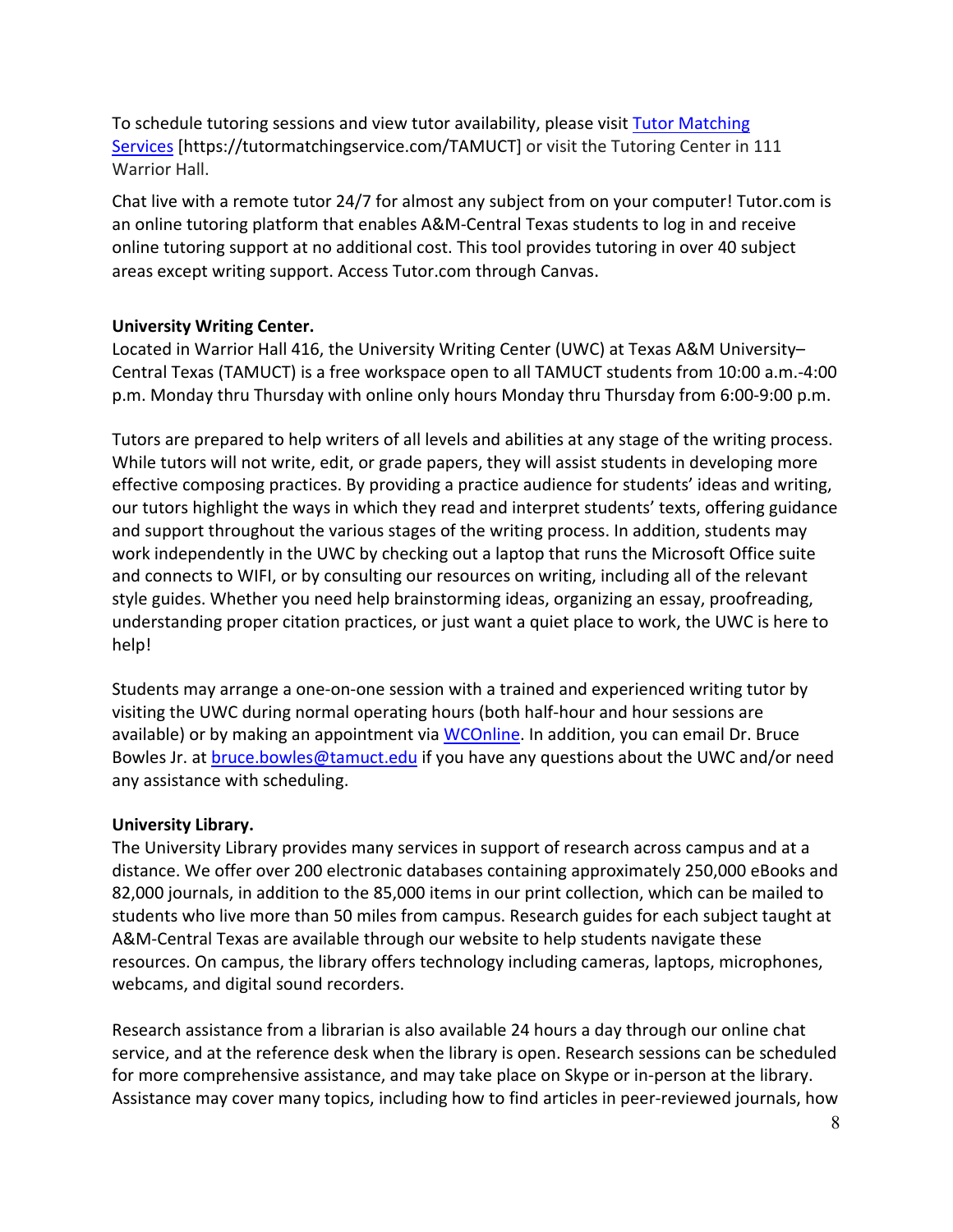To schedule tutoring sessions and view tutor availability, please visit Tutor [Matching](about:blank) [Services](about:blank) [https://tutormatchingservice.com/TAMUCT] or visit the Tutoring Center in 111 Warrior Hall.

Chat live with a remote tutor 24/7 for almost any subject from on your computer! Tutor.com is an online tutoring platform that enables A&M-Central Texas students to log in and receive online tutoring support at no additional cost. This tool provides tutoring in over 40 subject areas except writing support. Access Tutor.com through Canvas.

# **University Writing Center.**

Located in Warrior Hall 416, the University Writing Center (UWC) at Texas A&M University– Central Texas (TAMUCT) is a free workspace open to all TAMUCT students from 10:00 a.m.-4:00 p.m. Monday thru Thursday with online only hours Monday thru Thursday from 6:00-9:00 p.m.

Tutors are prepared to help writers of all levels and abilities at any stage of the writing process. While tutors will not write, edit, or grade papers, they will assist students in developing more effective composing practices. By providing a practice audience for students' ideas and writing, our tutors highlight the ways in which they read and interpret students' texts, offering guidance and support throughout the various stages of the writing process. In addition, students may work independently in the UWC by checking out a laptop that runs the Microsoft Office suite and connects to WIFI, or by consulting our resources on writing, including all of the relevant style guides. Whether you need help brainstorming ideas, organizing an essay, proofreading, understanding proper citation practices, or just want a quiet place to work, the UWC is here to help!

Students may arrange a one-on-one session with a trained and experienced writing tutor by visiting the UWC during normal operating hours (both half-hour and hour sessions are available) or by making an appointment via [WCOnline.](https://tamuct.mywconline.com/) In addition, you can email Dr. Bruce Bowles Jr. at [bruce.bowles@tamuct.edu](mailto:bruce.bowles@tamuct.edu) if you have any questions about the UWC and/or need any assistance with scheduling.

## **University Library.**

The University Library provides many services in support of research across campus and at a distance. We offer over 200 electronic databases containing approximately 250,000 eBooks and 82,000 journals, in addition to the 85,000 items in our print collection, which can be mailed to students who live more than 50 miles from campus. Research guides for each subject taught at A&M-Central Texas are available through our website to help students navigate these resources. On campus, the library offers technology including cameras, laptops, microphones, webcams, and digital sound recorders.

Research assistance from a librarian is also available 24 hours a day through our online chat service, and at the reference desk when the library is open. Research sessions can be scheduled for more comprehensive assistance, and may take place on Skype or in-person at the library. Assistance may cover many topics, including how to find articles in peer-reviewed journals, how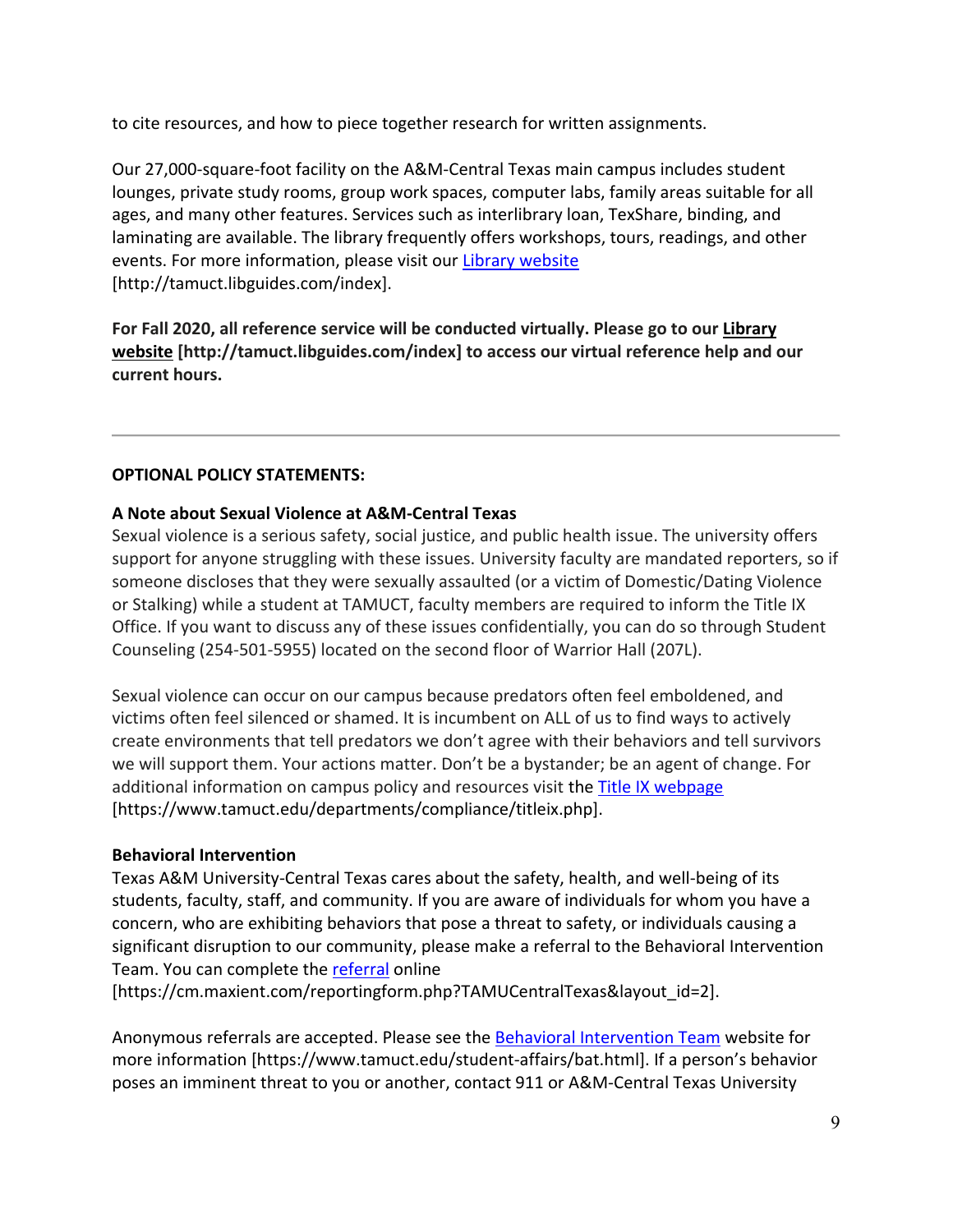to cite resources, and how to piece together research for written assignments.

Our 27,000-square-foot facility on the A&M-Central Texas main campus includes student lounges, private study rooms, group work spaces, computer labs, family areas suitable for all ages, and many other features. Services such as interlibrary loan, TexShare, binding, and laminating are available. The library frequently offers workshops, tours, readings, and other events. For more information, please visit our [Library website](https://tamuct.libguides.com/index) [http://tamuct.libguides.com/index].

**For Fall 2020, all reference service will be conducted virtually. Please go to our [Library](https://tamuct.libguides.com/index) [website](https://tamuct.libguides.com/index) [http://tamuct.libguides.com/index] to access our virtual reference help and our current hours.**

# **OPTIONAL POLICY STATEMENTS:**

# **A Note about Sexual Violence at A&M-Central Texas**

Sexual violence is a serious safety, social justice, and public health issue. The university offers support for anyone struggling with these issues. University faculty are mandated reporters, so if someone discloses that they were sexually assaulted (or a victim of Domestic/Dating Violence or Stalking) while a student at TAMUCT, faculty members are required to inform the Title IX Office. If you want to discuss any of these issues confidentially, you can do so through Student Counseling (254-501-5955) located on the second floor of Warrior Hall (207L).

Sexual violence can occur on our campus because predators often feel emboldened, and victims often feel silenced or shamed. It is incumbent on ALL of us to find ways to actively create environments that tell predators we don't agree with their behaviors and tell survivors we will support them. Your actions matter. Don't be a bystander; be an agent of change. For additional information on campus policy and resources visit the [Title IX webpage](https://www.tamuct.edu/departments/compliance/titleix.php) [https://www.tamuct.edu/departments/compliance/titleix.php].

## **Behavioral Intervention**

Texas A&M University-Central Texas cares about the safety, health, and well-being of its students, faculty, staff, and community. If you are aware of individuals for whom you have a concern, who are exhibiting behaviors that pose a threat to safety, or individuals causing a significant disruption to our community, please make a referral to the Behavioral Intervention Team. You can complete the [referral](https://cm.maxient.com/reportingform.php?TAMUCentralTexas&layout_id=2) online

[https://cm.maxient.com/reportingform.php?TAMUCentralTexas&layout\_id=2].

Anonymous referrals are accepted. Please see the [Behavioral Intervention Team](https://www.tamuct.edu/student-affairs/bat.html) website for more information [https://www.tamuct.edu/student-affairs/bat.html]. If a person's behavior poses an imminent threat to you or another, contact 911 or A&M-Central Texas University